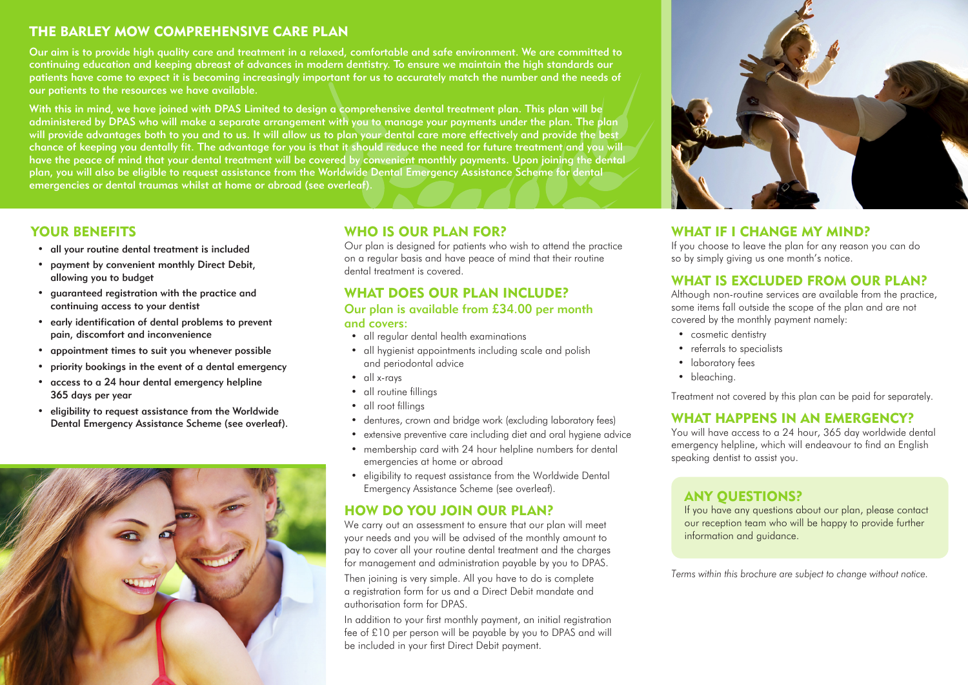# THE BARLEY MOW COMPREHENSIVE CARE PLAN

Our aim is to provide high quality care and treatment in a relaxed, comfortable and safe environment. We are committed to continuing education and keeping abreast of advances in modern dentistry. To ensure we maintain the high standards our patients have come to expect it is becoming increasingly important for us to accurately match the number and the needs of our patients to the resources we have available.

With this in mind, we have joined with DPAS Limited to design a comprehensive dental treatment plan. This plan will be administered by DPAS who will make a separate arrangement with you to manage your payments under the plan. The plan will provide advantages both to you and to us. It will allow us to plan your dental care more effectively and provide the best chance of keeping you dentally fit. The advantage for you is that it should reduce the need for future treatment and you will have the peace of mind that your dental treatment will be covered by convenient monthly payments. Upon joining the dental plan, you will also be eligible to request assistance from the Worldwide Dental Emergency Assistance Scheme for dental emergencies or dental traumas whilst at home or abroad (see overleaf).



- all your routine dental treatment is included
- payment by convenient monthly Direct Debit, allowing you to budget
- guaranteed registration with the practice and continuing access to your dentist
- early identification of dental problems to prevent pain, discomfort and inconvenience
- appointment times to suit you whenever possible
- priority bookings in the event of a dental emergency
- access to a 24 hour dental emergency helpline 365 days per year
- eligibility to request assistance from the Worldwide Dental Emergency Assistance Scheme (see overleaf).



# WHO IS OUR PLAN FOR?

Our plan is designed for patients who wish to attend the practice on a regular basis and have peace of mind that their routine dental treatment is covered.

## WHAT DOES OUR PLAN INCLUDE?

#### Our plan is available from £34.00 per month and covers:

- all regular dental health examinations
- all hygienist appointments including scale and polish and periodontal advice
- all x-rays
- all routine fillings
- all root fillings
- dentures, crown and bridge work (excluding laboratory fees)
- extensive preventive care including diet and oral hygiene advice
- membership card with 24 hour helpline numbers for dental emergencies at home or abroad
- eligibility to request assistance from the Worldwide Dental Emergency Assistance Scheme (see overleaf).

# HOW DO YOU JOIN OUR PLAN?

We carry out an assessment to ensure that our plan will meet your needs and you will be advised of the monthly amount to pay to cover all your routine dental treatment and the charges for management and administration payable by you to DPAS.

Then joining is very simple. All you have to do is complete a registration form for us and a Direct Debit mandate and authorisation form for DPAS.

In addition to your first monthly payment, an initial registration fee of £10 per person will be payable by you to DPAS and will be included in your first Direct Debit payment.



## WHAT IF I CHANGE MY MIND?

If you choose to leave the plan for any reason you can do so by simply giving us one month's notice.

## WHAT IS EXCLUDED FROM OUR PLAN?

Although non-routine services are available from the practice, some items fall outside the scope of the plan and are not covered by the monthly payment namely:

- cosmetic dentistry
- referrals to specialists
- laboratory fees
- bleaching.

Treatment not covered by this plan can be paid for separately.

## WHAT HAPPENS IN AN EMERGENCY?

You will have access to a 24 hour, 365 day worldwide dental emergency helpline, which will endeavour to find an English speaking dentist to assist you.

## ANY QUESTIONS?

If you have any questions about our plan, please contact our reception team who will be happy to provide further information and guidance.

*Terms within this brochure are subject to change without notice.*